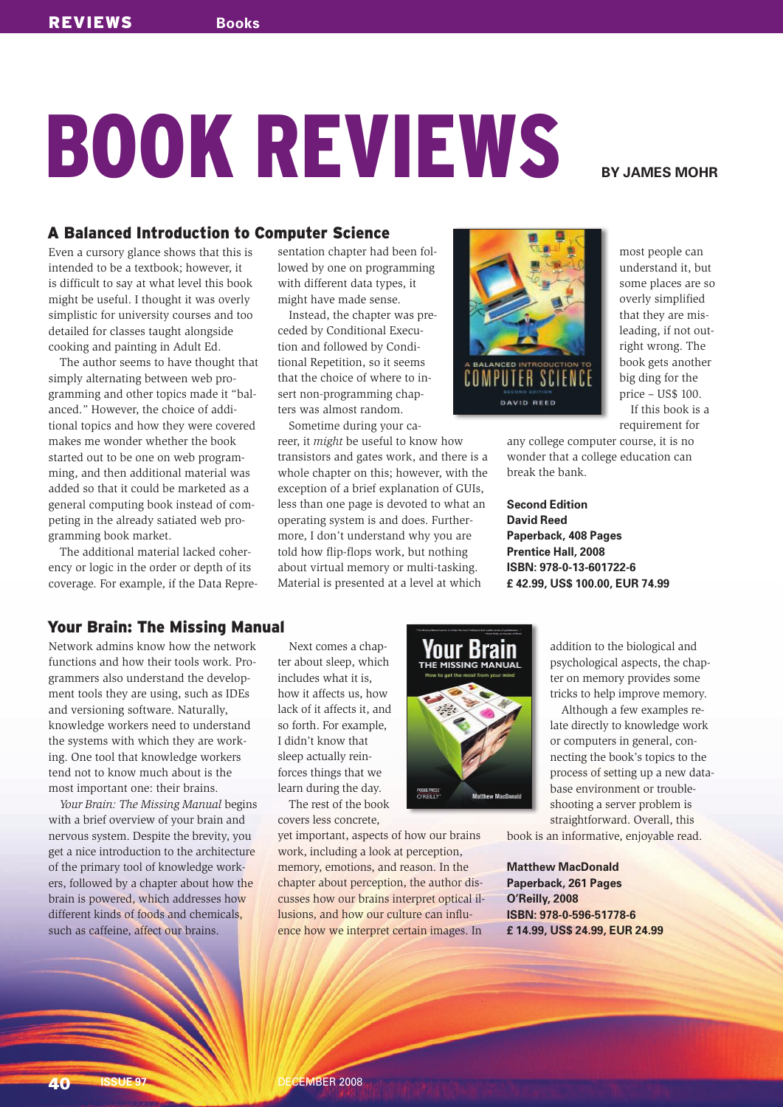# **BOOK REVIEWS** BYJAMES MOHR

## A Balanced Introduction to Computer Science

Even a cursory glance shows that this is intended to be a textbook; however, it is difficult to say at what level this book might be useful. I thought it was overly simplistic for university courses and too detailed for classes taught alongside cooking and painting in Adult Ed.

The author seems to have thought that simply alternating between web programming and other topics made it "balanced." However, the choice of additional topics and how they were covered makes me wonder whether the book started out to be one on web programming, and then additional material was added so that it could be marketed as a general computing book instead of competing in the already satiated web programming book market.

The additional material lacked coherency or logic in the order or depth of its coverage. For example, if the Data Repre-

sentation chapter had been followed by one on programming with different data types, it might have made sense.

Instead, the chapter was preceded by Conditional Execution and followed by Conditional Repetition, so it seems that the choice of where to insert non-programming chapters was almost random.

Sometime during your career, it *might* be useful to know how transistors and gates work, and there is a whole chapter on this; however, with the exception of a brief explanation of GUIs, less than one page is devoted to what an operating system is and does. Furthermore, I don't understand why you are told how flip-flops work, but nothing about virtual memory or multi-tasking. Material is presented at a level at which



most people can understand it, but some places are so overly simplified that they are misleading, if not outright wrong. The book gets another big ding for the price – US\$ 100. If this book is a requirement for

any college computer course, it is no wonder that a college education can break the bank.

**Second Edition David Reed Paperback, 408 Pages Prentice Hall, 2008 ISBN: 978-0-13-601722-6 £ 42.99, US\$ 100.00, EUR 74.99**

## Your Brain: The Missing Manual

Network admins know how the network functions and how their tools work. Programmers also understand the development tools they are using, such as IDEs and versioning software. Naturally, knowledge workers need to understand the systems with which they are working. One tool that knowledge workers tend not to know much about is the most important one: their brains.

*Your Brain: The Missing Manual* begins with a brief overview of your brain and nervous system. Despite the brevity, you get a nice introduction to the architecture of the primary tool of knowledge workers, followed by a chapter about how the brain is powered, which addresses how different kinds of foods and chemicals, such as caffeine, affect our brains.

Next comes a chapter about sleep, which includes what it is, how it affects us, how lack of it affects it, and so forth. For example, I didn't know that sleep actually reinforces things that we learn during the day.

The rest of the book covers less concrete,

yet important, aspects of how our brains work, including a look at perception, memory, emotions, and reason. In the chapter about perception, the author discusses how our brains interpret optical illusions, and how our culture can influence how we interpret certain images. In



addition to the biological and psychological aspects, the chapter on memory provides some tricks to help improve memory.

Although a few examples relate directly to knowledge work or computers in general, connecting the book's topics to the process of setting up a new database environment or troubleshooting a server problem is straightforward. Overall, this

book is an informative, enjoyable read.

**Matthew MacDonald Paperback, 261 Pages O'Reilly, 2008 ISBN: 978-0-596-51778-6 £ 14.99, US\$ 24.99, EUR 24.99**

40 **ISSUE 97** DECEMBER 2008